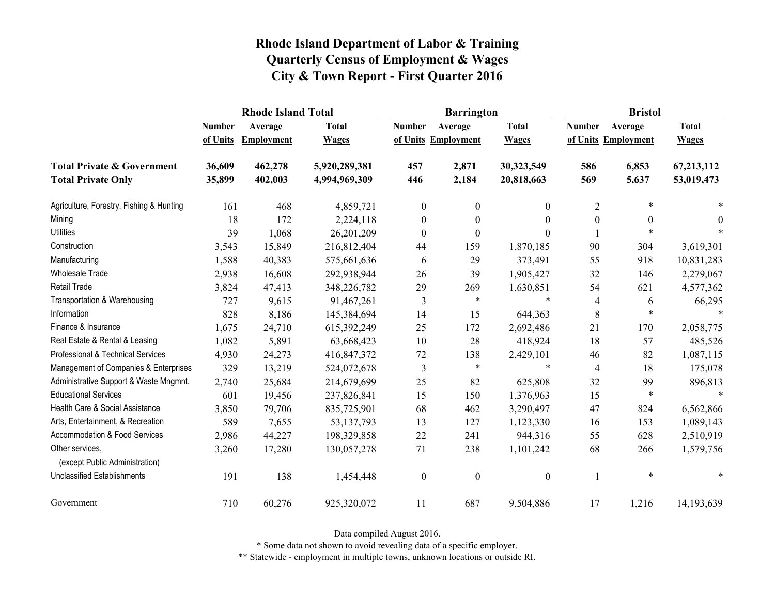|                                                   |               | <b>Rhode Island Total</b> |               |                  | <b>Barrington</b>   |                  | <b>Bristol</b>   |                     |              |
|---------------------------------------------------|---------------|---------------------------|---------------|------------------|---------------------|------------------|------------------|---------------------|--------------|
|                                                   | <b>Number</b> | Average                   | <b>Total</b>  | <b>Number</b>    | Average             | <b>Total</b>     | <b>Number</b>    | Average             | <b>Total</b> |
|                                                   | of Units      | Employment                | <b>Wages</b>  |                  | of Units Employment | <b>Wages</b>     |                  | of Units Employment | <b>Wages</b> |
| <b>Total Private &amp; Government</b>             | 36,609        | 462,278                   | 5,920,289,381 | 457              | 2,871               | 30,323,549       | 586              | 6,853               | 67,213,112   |
| <b>Total Private Only</b>                         | 35,899        | 402,003                   | 4,994,969,309 | 446              | 2,184               | 20,818,663       | 569              | 5,637               | 53,019,473   |
| Agriculture, Forestry, Fishing & Hunting          | 161           | 468                       | 4,859,721     | $\mathbf{0}$     | $\boldsymbol{0}$    | 0                | $\overline{2}$   | $\ast$              |              |
| Mining                                            | 18            | 172                       | 2,224,118     | $\boldsymbol{0}$ | $\boldsymbol{0}$    | 0                | $\boldsymbol{0}$ | $\theta$            | $\theta$     |
| <b>Utilities</b>                                  | 39            | 1,068                     | 26,201,209    | $\boldsymbol{0}$ | $\boldsymbol{0}$    | 0                |                  |                     |              |
| Construction                                      | 3,543         | 15,849                    | 216,812,404   | 44               | 159                 | 1,870,185        | 90               | 304                 | 3,619,301    |
| Manufacturing                                     | 1,588         | 40,383                    | 575,661,636   | 6                | 29                  | 373,491          | 55               | 918                 | 10,831,283   |
| <b>Wholesale Trade</b>                            | 2,938         | 16,608                    | 292,938,944   | 26               | 39                  | 1,905,427        | 32               | 146                 | 2,279,067    |
| <b>Retail Trade</b>                               | 3,824         | 47,413                    | 348,226,782   | 29               | 269                 | 1,630,851        | 54               | 621                 | 4,577,362    |
| Transportation & Warehousing                      | 727           | 9,615                     | 91,467,261    | 3                | $\ast$              | $\ast$           | 4                | 6                   | 66,295       |
| Information                                       | 828           | 8,186                     | 145,384,694   | 14               | 15                  | 644,363          | $\,8\,$          | $\ast$              | $\ast$       |
| Finance & Insurance                               | 1,675         | 24,710                    | 615,392,249   | 25               | 172                 | 2,692,486        | 21               | 170                 | 2,058,775    |
| Real Estate & Rental & Leasing                    | 1,082         | 5,891                     | 63,668,423    | 10               | 28                  | 418,924          | 18               | 57                  | 485,526      |
| Professional & Technical Services                 | 4,930         | 24,273                    | 416,847,372   | 72               | 138                 | 2,429,101        | 46               | 82                  | 1,087,115    |
| Management of Companies & Enterprises             | 329           | 13,219                    | 524,072,678   | 3                | $\ast$              | $\ast$           | $\overline{4}$   | 18                  | 175,078      |
| Administrative Support & Waste Mngmnt.            | 2,740         | 25,684                    | 214,679,699   | 25               | 82                  | 625,808          | 32               | 99                  | 896,813      |
| <b>Educational Services</b>                       | 601           | 19,456                    | 237,826,841   | 15               | 150                 | 1,376,963        | 15               | $\ast$              | $\ast$       |
| Health Care & Social Assistance                   | 3,850         | 79,706                    | 835,725,901   | 68               | 462                 | 3,290,497        | 47               | 824                 | 6,562,866    |
| Arts, Entertainment, & Recreation                 | 589           | 7,655                     | 53, 137, 793  | 13               | 127                 | 1,123,330        | 16               | 153                 | 1,089,143    |
| Accommodation & Food Services                     | 2,986         | 44,227                    | 198,329,858   | 22               | 241                 | 944,316          | 55               | 628                 | 2,510,919    |
| Other services,<br>(except Public Administration) | 3,260         | 17,280                    | 130,057,278   | 71               | 238                 | 1,101,242        | 68               | 266                 | 1,579,756    |
| <b>Unclassified Establishments</b>                | 191           | 138                       | 1,454,448     | $\boldsymbol{0}$ | $\boldsymbol{0}$    | $\boldsymbol{0}$ | 1                | $\ast$              | $\ast$       |
| Government                                        | 710           | 60,276                    | 925,320,072   | 11               | 687                 | 9,504,886        | 17               | 1,216               | 14,193,639   |

Data compiled August 2016.

\* Some data not shown to avoid revealing data of a specific employer.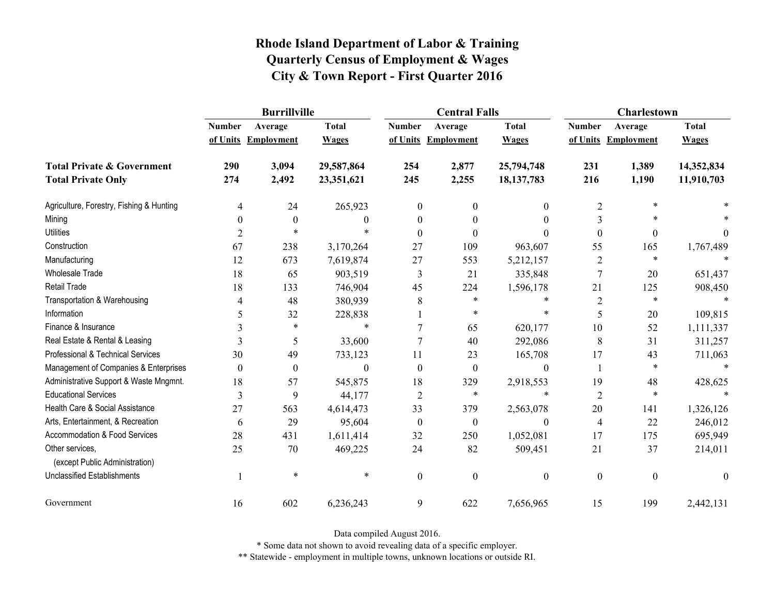|                                                   | <b>Burrillville</b> |                     |              |                  | <b>Central Falls</b> |                  | <b>Charlestown</b> |                     |                |
|---------------------------------------------------|---------------------|---------------------|--------------|------------------|----------------------|------------------|--------------------|---------------------|----------------|
|                                                   | <b>Number</b>       | Average             | <b>Total</b> | <b>Number</b>    | Average              | <b>Total</b>     | <b>Number</b>      | Average             | <b>Total</b>   |
|                                                   |                     | of Units Employment | <b>Wages</b> |                  | of Units Employment  | <b>Wages</b>     |                    | of Units Employment | <b>Wages</b>   |
| <b>Total Private &amp; Government</b>             | 290                 | 3,094               | 29,587,864   | 254              | 2,877                | 25,794,748       | 231                | 1,389               | 14,352,834     |
| <b>Total Private Only</b>                         | 274                 | 2,492               | 23,351,621   | 245              | 2,255                | 18, 137, 783     | 216                | 1,190               | 11,910,703     |
| Agriculture, Forestry, Fishing & Hunting          | 4                   | 24                  | 265,923      | $\mathbf{0}$     | $\boldsymbol{0}$     | $\mathbf{0}$     | $\overline{2}$     | $\ast$              |                |
| Mining                                            | $\theta$            | $\theta$            | 0            | $\theta$         | $\theta$             | $\theta$         | 3                  | $\ast$              |                |
| <b>Utilities</b>                                  | 2                   | $\ast$              | $\ast$       | $\Omega$         | $\theta$             | $\theta$         | $\boldsymbol{0}$   | $\boldsymbol{0}$    | $\overline{0}$ |
| Construction                                      | 67                  | 238                 | 3,170,264    | 27               | 109                  | 963,607          | 55                 | 165                 | 1,767,489      |
| Manufacturing                                     | 12                  | 673                 | 7,619,874    | 27               | 553                  | 5,212,157        | $\overline{2}$     | $\ast$              |                |
| <b>Wholesale Trade</b>                            | 18                  | 65                  | 903,519      | 3                | 21                   | 335,848          | $\overline{7}$     | 20                  | 651,437        |
| <b>Retail Trade</b>                               | 18                  | 133                 | 746,904      | 45               | 224                  | 1,596,178        | 21                 | 125                 | 908,450        |
| Transportation & Warehousing                      | 4                   | 48                  | 380,939      | 8                | $\ast$               | $\ast$           | $\overline{2}$     | $\ast$              |                |
| Information                                       | 5                   | 32                  | 228,838      |                  | $\ast$               | $\ast$           | 5                  | $20\,$              | 109,815        |
| Finance & Insurance                               |                     | $\ast$              | $\ast$       |                  | 65                   | 620,177          | 10                 | 52                  | 1,111,337      |
| Real Estate & Rental & Leasing                    | 3                   | 5                   | 33,600       |                  | 40                   | 292,086          | 8                  | 31                  | 311,257        |
| Professional & Technical Services                 | 30                  | 49                  | 733,123      | 11               | 23                   | 165,708          | 17                 | 43                  | 711,063        |
| Management of Companies & Enterprises             | $\theta$            | $\boldsymbol{0}$    | $\theta$     | $\theta$         | $\theta$             | $\theta$         | 1                  | $\ast$              |                |
| Administrative Support & Waste Mngmnt.            | 18                  | 57                  | 545,875      | 18               | 329                  | 2,918,553        | 19                 | 48                  | 428,625        |
| <b>Educational Services</b>                       | 3                   | 9                   | 44,177       | $\overline{2}$   | $\ast$               | $\ast$           | $\overline{2}$     | $\ast$              |                |
| Health Care & Social Assistance                   | 27                  | 563                 | 4,614,473    | 33               | 379                  | 2,563,078        | 20                 | 141                 | 1,326,126      |
| Arts, Entertainment, & Recreation                 | 6                   | 29                  | 95,604       | $\boldsymbol{0}$ | $\boldsymbol{0}$     | $\boldsymbol{0}$ | $\overline{4}$     | 22                  | 246,012        |
| Accommodation & Food Services                     | 28                  | 431                 | 1,611,414    | 32               | 250                  | 1,052,081        | 17                 | 175                 | 695,949        |
| Other services,<br>(except Public Administration) | 25                  | 70                  | 469,225      | 24               | 82                   | 509,451          | 21                 | 37                  | 214,011        |
| <b>Unclassified Establishments</b>                |                     | $\ast$              | $\ast$       | $\boldsymbol{0}$ | $\mathbf{0}$         | $\boldsymbol{0}$ | $\boldsymbol{0}$   | $\boldsymbol{0}$    | $\mathbf{0}$   |
| Government                                        | 16                  | 602                 | 6,236,243    | 9                | 622                  | 7,656,965        | 15                 | 199                 | 2,442,131      |

Data compiled August 2016.

\* Some data not shown to avoid revealing data of a specific employer.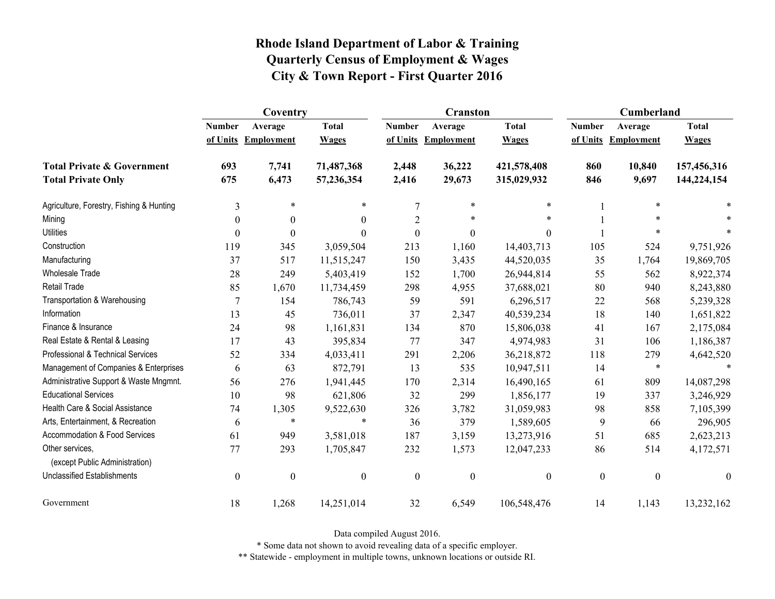|                                                   | Coventry         |                     |                  |                  | <b>Cranston</b>     |                  | Cumberland       |                     |                  |
|---------------------------------------------------|------------------|---------------------|------------------|------------------|---------------------|------------------|------------------|---------------------|------------------|
|                                                   | <b>Number</b>    | Average             | <b>Total</b>     | <b>Number</b>    | Average             | <b>Total</b>     | <b>Number</b>    | Average             | <b>Total</b>     |
|                                                   |                  | of Units Employment | <b>Wages</b>     |                  | of Units Employment | <b>Wages</b>     |                  | of Units Employment | <b>Wages</b>     |
| <b>Total Private &amp; Government</b>             | 693              | 7,741               | 71,487,368       | 2,448            | 36,222              | 421,578,408      | 860              | 10,840              | 157,456,316      |
| <b>Total Private Only</b>                         | 675              | 6,473               | 57,236,354       | 2,416            | 29,673              | 315,029,932      | 846              | 9,697               | 144,224,154      |
| Agriculture, Forestry, Fishing & Hunting          | $\mathfrak{Z}$   | $\ast$              | *                | 7                | $\ast$              | $\ast$           |                  | $\ast$              |                  |
| Mining                                            | $\theta$         | $\theta$            | $\Omega$         | 2                | *                   | $\ast$           |                  | $\ast$              |                  |
| <b>Utilities</b>                                  | $\boldsymbol{0}$ | $\boldsymbol{0}$    | $\Omega$         | $\boldsymbol{0}$ | $\boldsymbol{0}$    | $\boldsymbol{0}$ |                  | $\ast$              |                  |
| Construction                                      | 119              | 345                 | 3,059,504        | 213              | 1,160               | 14,403,713       | 105              | 524                 | 9,751,926        |
| Manufacturing                                     | 37               | 517                 | 11,515,247       | 150              | 3,435               | 44,520,035       | 35               | 1,764               | 19,869,705       |
| Wholesale Trade                                   | 28               | 249                 | 5,403,419        | 152              | 1,700               | 26,944,814       | 55               | 562                 | 8,922,374        |
| <b>Retail Trade</b>                               | 85               | 1,670               | 11,734,459       | 298              | 4,955               | 37,688,021       | 80               | 940                 | 8,243,880        |
| Transportation & Warehousing                      | $\overline{7}$   | 154                 | 786,743          | 59               | 591                 | 6,296,517        | 22               | 568                 | 5,239,328        |
| Information                                       | 13               | 45                  | 736,011          | 37               | 2,347               | 40,539,234       | 18               | 140                 | 1,651,822        |
| Finance & Insurance                               | 24               | 98                  | 1,161,831        | 134              | 870                 | 15,806,038       | 41               | 167                 | 2,175,084        |
| Real Estate & Rental & Leasing                    | 17               | 43                  | 395,834          | 77               | 347                 | 4,974,983        | 31               | 106                 | 1,186,387        |
| Professional & Technical Services                 | 52               | 334                 | 4,033,411        | 291              | 2,206               | 36,218,872       | 118              | 279                 | 4,642,520        |
| Management of Companies & Enterprises             | 6                | 63                  | 872,791          | 13               | 535                 | 10,947,511       | 14               | $\ast$              | $\ast$           |
| Administrative Support & Waste Mngmnt.            | 56               | 276                 | 1,941,445        | 170              | 2,314               | 16,490,165       | 61               | 809                 | 14,087,298       |
| <b>Educational Services</b>                       | 10               | 98                  | 621,806          | 32               | 299                 | 1,856,177        | 19               | 337                 | 3,246,929        |
| Health Care & Social Assistance                   | 74               | 1,305               | 9,522,630        | 326              | 3,782               | 31,059,983       | 98               | 858                 | 7,105,399        |
| Arts, Entertainment, & Recreation                 | 6                | $\ast$              | $\ast$           | 36               | 379                 | 1,589,605        | 9                | 66                  | 296,905          |
| Accommodation & Food Services                     | 61               | 949                 | 3,581,018        | 187              | 3,159               | 13,273,916       | 51               | 685                 | 2,623,213        |
| Other services,<br>(except Public Administration) | 77               | 293                 | 1,705,847        | 232              | 1,573               | 12,047,233       | 86               | 514                 | 4,172,571        |
| <b>Unclassified Establishments</b>                | $\boldsymbol{0}$ | $\boldsymbol{0}$    | $\boldsymbol{0}$ | $\boldsymbol{0}$ | $\boldsymbol{0}$    | $\boldsymbol{0}$ | $\boldsymbol{0}$ | $\boldsymbol{0}$    | $\boldsymbol{0}$ |
| Government                                        | 18               | 1,268               | 14,251,014       | 32               | 6,549               | 106,548,476      | 14               | 1,143               | 13,232,162       |

Data compiled August 2016.

\* Some data not shown to avoid revealing data of a specific employer.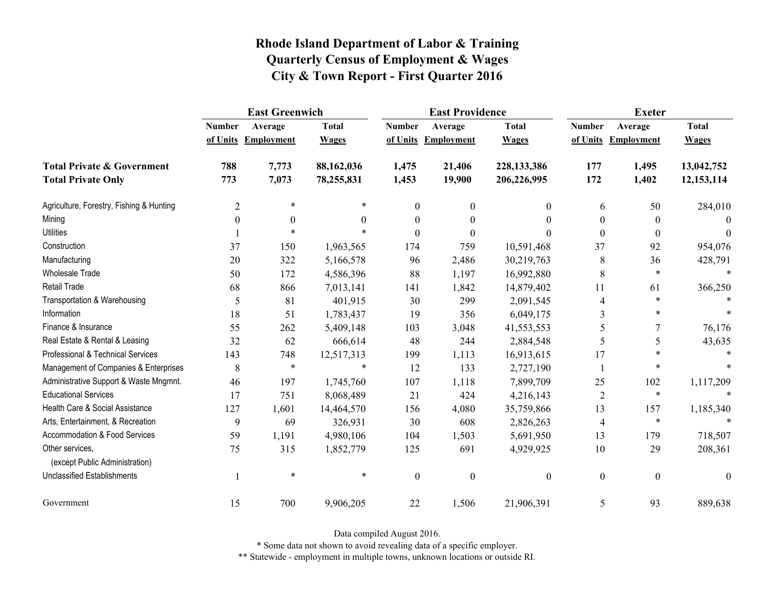|                                                   | <b>East Greenwich</b> |                     |              |                  | <b>East Providence</b> |                  | <b>Exeter</b>    |                     |              |
|---------------------------------------------------|-----------------------|---------------------|--------------|------------------|------------------------|------------------|------------------|---------------------|--------------|
|                                                   | <b>Number</b>         | Average             | <b>Total</b> | <b>Number</b>    | Average                | <b>Total</b>     | <b>Number</b>    | Average             | <b>Total</b> |
|                                                   |                       | of Units Employment | <b>Wages</b> |                  | of Units Employment    | <b>Wages</b>     |                  | of Units Employment | <b>Wages</b> |
| <b>Total Private &amp; Government</b>             | 788                   | 7,773               | 88,162,036   | 1,475            | 21,406                 | 228,133,386      | 177              | 1,495               | 13,042,752   |
| <b>Total Private Only</b>                         | 773                   | 7,073               | 78,255,831   | 1,453            | 19,900                 | 206,226,995      | 172              | 1,402               | 12,153,114   |
| Agriculture, Forestry, Fishing & Hunting          | $\overline{2}$        | $\ast$              |              | $\overline{0}$   | $\mathbf{0}$           | 0                | 6                | 50                  | 284,010      |
| Mining                                            | $\boldsymbol{0}$      | $\theta$            | $\Omega$     | $\theta$         | 0                      | $\Omega$         | $\boldsymbol{0}$ | $\theta$            | $\Omega$     |
| <b>Utilities</b>                                  |                       | $\ast$              |              | $\theta$         | $\theta$               | 0                | $\boldsymbol{0}$ | $\theta$            | $\theta$     |
| Construction                                      | 37                    | 150                 | 1,963,565    | 174              | 759                    | 10,591,468       | 37               | 92                  | 954,076      |
| Manufacturing                                     | 20                    | 322                 | 5,166,578    | 96               | 2,486                  | 30,219,763       | 8                | 36                  | 428,791      |
| <b>Wholesale Trade</b>                            | 50                    | 172                 | 4,586,396    | 88               | 1,197                  | 16,992,880       | 8                | $\ast$              | $\ast$       |
| <b>Retail Trade</b>                               | 68                    | 866                 | 7,013,141    | 141              | 1,842                  | 14,879,402       | 11               | 61                  | 366,250      |
| Transportation & Warehousing                      | 5                     | 81                  | 401,915      | 30               | 299                    | 2,091,545        | 4                | $\ast$              |              |
| Information                                       | 18                    | 51                  | 1,783,437    | 19               | 356                    | 6,049,175        | 3                | $\ast$              |              |
| Finance & Insurance                               | 55                    | 262                 | 5,409,148    | 103              | 3,048                  | 41,553,553       | 5                | 7                   | 76,176       |
| Real Estate & Rental & Leasing                    | 32                    | 62                  | 666,614      | 48               | 244                    | 2,884,548        | 5                | 5                   | 43,635       |
| Professional & Technical Services                 | 143                   | 748                 | 12,517,313   | 199              | 1,113                  | 16,913,615       | 17               | $\ast$              |              |
| Management of Companies & Enterprises             | 8                     | $\ast$              | $\ast$       | 12               | 133                    | 2,727,190        |                  | $\ast$              |              |
| Administrative Support & Waste Mngmnt.            | 46                    | 197                 | 1,745,760    | 107              | 1,118                  | 7,899,709        | 25               | 102                 | 1,117,209    |
| <b>Educational Services</b>                       | 17                    | 751                 | 8,068,489    | 21               | 424                    | 4,216,143        | $\overline{2}$   | $\ast$              |              |
| Health Care & Social Assistance                   | 127                   | 1,601               | 14,464,570   | 156              | 4,080                  | 35,759,866       | 13               | 157                 | 1,185,340    |
| Arts, Entertainment, & Recreation                 | 9                     | 69                  | 326,931      | 30               | 608                    | 2,826,263        | $\overline{4}$   | $\ast$              |              |
| <b>Accommodation &amp; Food Services</b>          | 59                    | 1,191               | 4,980,106    | 104              | 1,503                  | 5,691,950        | 13               | 179                 | 718,507      |
| Other services,<br>(except Public Administration) | 75                    | 315                 | 1,852,779    | 125              | 691                    | 4,929,925        | $10\,$           | 29                  | 208,361      |
| <b>Unclassified Establishments</b>                |                       | $\ast$              | $\ast$       | $\boldsymbol{0}$ | $\boldsymbol{0}$       | $\boldsymbol{0}$ | $\boldsymbol{0}$ | $\boldsymbol{0}$    | $\theta$     |
| Government                                        | 15                    | 700                 | 9,906,205    | 22               | 1,506                  | 21,906,391       | 5                | 93                  | 889,638      |

Data compiled August 2016.

\* Some data not shown to avoid revealing data of a specific employer.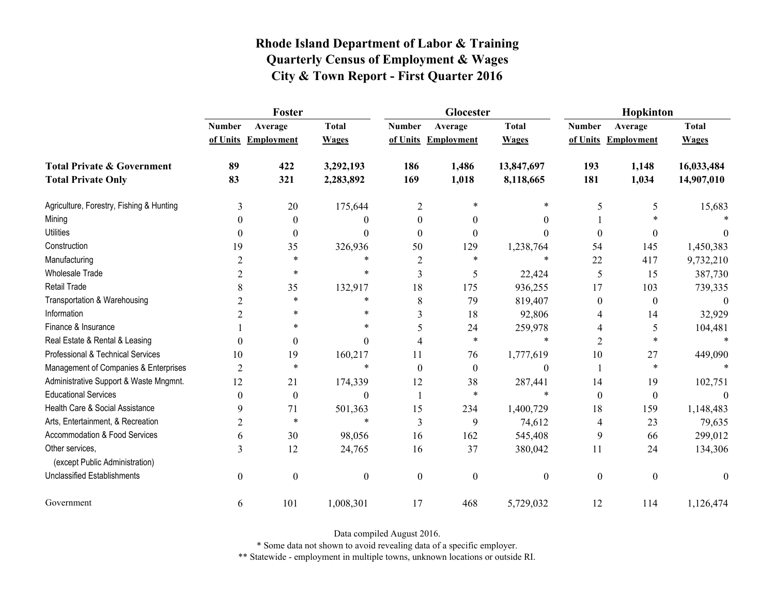|                                                   | Foster           |                     |                  |                  | Glocester           |                  | Hopkinton        |                     |              |
|---------------------------------------------------|------------------|---------------------|------------------|------------------|---------------------|------------------|------------------|---------------------|--------------|
|                                                   | <b>Number</b>    | Average             | <b>Total</b>     | <b>Number</b>    | Average             | <b>Total</b>     | <b>Number</b>    | Average             | <b>Total</b> |
|                                                   |                  | of Units Employment | <b>Wages</b>     |                  | of Units Employment | <b>Wages</b>     |                  | of Units Employment | <b>Wages</b> |
| <b>Total Private &amp; Government</b>             | 89               | 422                 | 3,292,193        | 186              | 1,486               | 13,847,697       | 193              | 1,148               | 16,033,484   |
| <b>Total Private Only</b>                         | 83               | 321                 | 2,283,892        | 169              | 1,018               | 8,118,665        | 181              | 1,034               | 14,907,010   |
| Agriculture, Forestry, Fishing & Hunting          | 3                | 20                  | 175,644          | $\overline{2}$   | 米                   | $\ast$           | 5                | 5                   | 15,683       |
| Mining                                            | $\theta$         | $\theta$            | 0                | $\theta$         | $\theta$            | $\theta$         |                  |                     |              |
| <b>Utilities</b>                                  | $\theta$         | $\boldsymbol{0}$    | $\theta$         | $\theta$         | $\theta$            | $\theta$         | $\boldsymbol{0}$ | 0                   | $\theta$     |
| Construction                                      | 19               | 35                  | 326,936          | 50               | 129                 | 1,238,764        | 54               | 145                 | 1,450,383    |
| Manufacturing                                     | $\overline{2}$   | $\ast$              | *                | 2                | *                   | $\ast$           | 22               | 417                 | 9,732,210    |
| <b>Wholesale Trade</b>                            | $\overline{2}$   | $\ast$              | *                | 3                | 5                   | 22,424           | 5                | 15                  | 387,730      |
| Retail Trade                                      | 8                | 35                  | 132,917          | 18               | 175                 | 936,255          | 17               | 103                 | 739,335      |
| Transportation & Warehousing                      | $\overline{2}$   | $\ast$              | *                | 8                | 79                  | 819,407          | $\boldsymbol{0}$ | $\boldsymbol{0}$    | $\theta$     |
| Information                                       | 2                | *                   | *                | 3                | 18                  | 92,806           | 4                | 14                  | 32,929       |
| Finance & Insurance                               |                  | $\ast$              | $\ast$           | 5                | 24                  | 259,978          | 4                | 5                   | 104,481      |
| Real Estate & Rental & Leasing                    | $\Omega$         | $\boldsymbol{0}$    | $\Omega$         | 4                | $\ast$              | *                | $\overline{2}$   | $\ast$              |              |
| Professional & Technical Services                 | 10               | 19                  | 160,217          | 11               | 76                  | 1,777,619        | 10               | 27                  | 449,090      |
| Management of Companies & Enterprises             | $\overline{2}$   | $\ast$              | $\ast$           | $\theta$         | $\boldsymbol{0}$    | $\boldsymbol{0}$ |                  | $\ast$              |              |
| Administrative Support & Waste Mngmnt.            | 12               | 21                  | 174,339          | 12               | 38                  | 287,441          | 14               | 19                  | 102,751      |
| <b>Educational Services</b>                       | $\theta$         | $\boldsymbol{0}$    | $\theta$         | $\mathbf{1}$     | $\ast$              | $\ast$           | $\boldsymbol{0}$ | $\boldsymbol{0}$    |              |
| Health Care & Social Assistance                   | 9                | 71                  | 501,363          | 15               | 234                 | 1,400,729        | 18               | 159                 | 1,148,483    |
| Arts, Entertainment, & Recreation                 | $\overline{2}$   | $\ast$              | $\ast$           | 3                | 9                   | 74,612           | 4                | 23                  | 79,635       |
| Accommodation & Food Services                     | 6                | 30                  | 98,056           | 16               | 162                 | 545,408          | 9                | 66                  | 299,012      |
| Other services,<br>(except Public Administration) | 3                | 12                  | 24,765           | 16               | 37                  | 380,042          | 11               | 24                  | 134,306      |
| <b>Unclassified Establishments</b>                | $\boldsymbol{0}$ | $\boldsymbol{0}$    | $\boldsymbol{0}$ | $\boldsymbol{0}$ | $\mathbf{0}$        | $\boldsymbol{0}$ | $\boldsymbol{0}$ | $\boldsymbol{0}$    | $\mathbf{0}$ |
| Government                                        | 6                | 101                 | 1,008,301        | 17               | 468                 | 5,729,032        | 12               | 114                 | 1,126,474    |

Data compiled August 2016.

\* Some data not shown to avoid revealing data of a specific employer.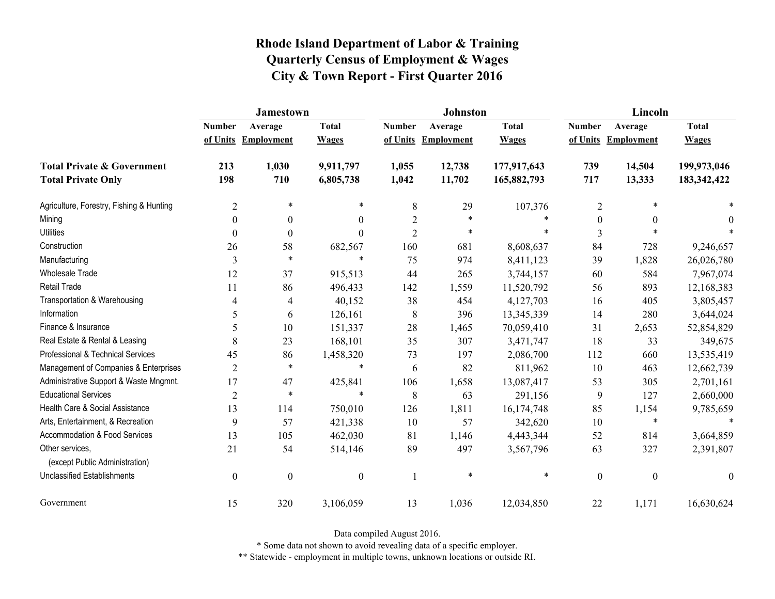|                                                   | <b>Jamestown</b> |                     |                  |                | <b>Johnston</b>   |              | Lincoln          |                     |                  |
|---------------------------------------------------|------------------|---------------------|------------------|----------------|-------------------|--------------|------------------|---------------------|------------------|
|                                                   | <b>Number</b>    | Average             | <b>Total</b>     | <b>Number</b>  | Average           | <b>Total</b> | <b>Number</b>    | Average             | <b>Total</b>     |
|                                                   |                  | of Units Employment | <b>Wages</b>     | of Units       | <b>Employment</b> | <b>Wages</b> |                  | of Units Employment | <b>Wages</b>     |
| <b>Total Private &amp; Government</b>             | 213              | 1,030               | 9,911,797        | 1,055          | 12,738            | 177,917,643  | 739              | 14,504              | 199,973,046      |
| <b>Total Private Only</b>                         | 198              | 710                 | 6,805,738        | 1,042          | 11,702            | 165,882,793  | 717              | 13,333              | 183, 342, 422    |
| Agriculture, Forestry, Fishing & Hunting          | $\overline{2}$   | $\ast$              | $\ast$           | $\,8\,$        | 29                | 107,376      | $\sqrt{2}$       | $\ast$              |                  |
| Mining                                            | $\Omega$         | $\mathbf{0}$        | $\mathbf{0}$     | $\overline{2}$ | $\ast$            | $\ast$       | $\mathbf{0}$     | $\theta$            | 0                |
| <b>Utilities</b>                                  | $\theta$         | $\theta$            | $\boldsymbol{0}$ | $\overline{2}$ | $\ast$            | $\ast$       | 3                | $\ast$              |                  |
| Construction                                      | 26               | 58                  | 682,567          | 160            | 681               | 8,608,637    | 84               | 728                 | 9,246,657        |
| Manufacturing                                     | 3                | $\ast$              | $\ast$           | 75             | 974               | 8,411,123    | 39               | 1,828               | 26,026,780       |
| Wholesale Trade                                   | 12               | 37                  | 915,513          | 44             | 265               | 3,744,157    | 60               | 584                 | 7,967,074        |
| <b>Retail Trade</b>                               | 11               | 86                  | 496,433          | 142            | 1,559             | 11,520,792   | 56               | 893                 | 12,168,383       |
| Transportation & Warehousing                      | 4                | 4                   | 40,152           | 38             | 454               | 4,127,703    | 16               | 405                 | 3,805,457        |
| Information                                       | 5                | 6                   | 126,161          | $\,8\,$        | 396               | 13,345,339   | 14               | 280                 | 3,644,024        |
| Finance & Insurance                               | 5                | 10                  | 151,337          | 28             | 1,465             | 70,059,410   | 31               | 2,653               | 52,854,829       |
| Real Estate & Rental & Leasing                    | 8                | 23                  | 168,101          | 35             | 307               | 3,471,747    | 18               | 33                  | 349,675          |
| Professional & Technical Services                 | 45               | 86                  | 1,458,320        | 73             | 197               | 2,086,700    | 112              | 660                 | 13,535,419       |
| Management of Companies & Enterprises             | $\overline{2}$   | $\ast$              | $\ast$           | 6              | 82                | 811,962      | 10               | 463                 | 12,662,739       |
| Administrative Support & Waste Mngmnt.            | 17               | 47                  | 425,841          | 106            | 1,658             | 13,087,417   | 53               | 305                 | 2,701,161        |
| <b>Educational Services</b>                       | 2                | $\ast$              | $\ast$           | 8              | 63                | 291,156      | 9                | 127                 | 2,660,000        |
| Health Care & Social Assistance                   | 13               | 114                 | 750,010          | 126            | 1,811             | 16,174,748   | 85               | 1,154               | 9,785,659        |
| Arts, Entertainment, & Recreation                 | 9                | 57                  | 421,338          | 10             | 57                | 342,620      | $10\,$           | $\ast$              | $\ast$           |
| Accommodation & Food Services                     | 13               | 105                 | 462,030          | 81             | 1,146             | 4,443,344    | 52               | 814                 | 3,664,859        |
| Other services,<br>(except Public Administration) | 21               | 54                  | 514,146          | 89             | 497               | 3,567,796    | 63               | 327                 | 2,391,807        |
| <b>Unclassified Establishments</b>                | $\mathbf{0}$     | $\boldsymbol{0}$    | $\boldsymbol{0}$ |                | $\ast$            | $\ast$       | $\boldsymbol{0}$ | $\boldsymbol{0}$    | $\boldsymbol{0}$ |
| Government                                        | 15               | 320                 | 3,106,059        | 13             | 1,036             | 12,034,850   | 22               | 1,171               | 16,630,624       |

Data compiled August 2016.

\* Some data not shown to avoid revealing data of a specific employer.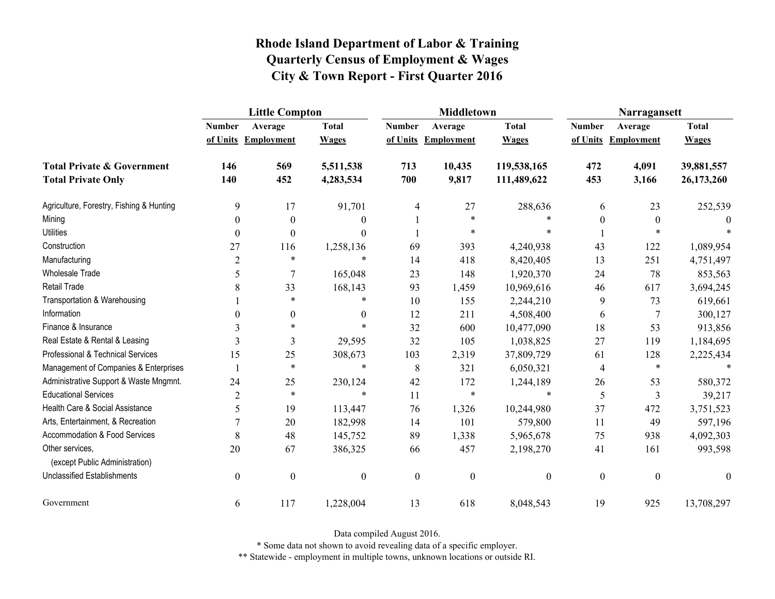|                                                   | <b>Little Compton</b> |                     |                  |                  | <b>Middletown</b>   |                  | Narragansett     |                     |              |
|---------------------------------------------------|-----------------------|---------------------|------------------|------------------|---------------------|------------------|------------------|---------------------|--------------|
|                                                   | <b>Number</b>         | Average             | <b>Total</b>     | <b>Number</b>    | Average             | <b>Total</b>     | <b>Number</b>    | Average             | <b>Total</b> |
|                                                   |                       | of Units Employment | <b>Wages</b>     |                  | of Units Employment | <b>Wages</b>     |                  | of Units Employment | <b>Wages</b> |
| <b>Total Private &amp; Government</b>             | 146                   | 569                 | 5,511,538        | 713              | 10,435              | 119,538,165      | 472              | 4,091               | 39,881,557   |
| <b>Total Private Only</b>                         | 140                   | 452                 | 4,283,534        | 700              | 9,817               | 111,489,622      | 453              | 3,166               | 26,173,260   |
| Agriculture, Forestry, Fishing & Hunting          | 9                     | 17                  | 91,701           | 4                | 27                  | 288,636          | 6                | 23                  | 252,539      |
| Mining                                            | $\boldsymbol{0}$      | $\boldsymbol{0}$    | $\theta$         |                  | $\ast$              |                  | $\boldsymbol{0}$ | $\boldsymbol{0}$    | $\theta$     |
| <b>Utilities</b>                                  | $\theta$              | $\theta$            | $\Omega$         |                  | $\ast$              |                  |                  | $\ast$              |              |
| Construction                                      | 27                    | 116                 | 1,258,136        | 69               | 393                 | 4,240,938        | 43               | 122                 | 1,089,954    |
| Manufacturing                                     | $\overline{2}$        | $\ast$              | $\ast$           | 14               | 418                 | 8,420,405        | 13               | 251                 | 4,751,497    |
| <b>Wholesale Trade</b>                            | 5                     | 7                   | 165,048          | 23               | 148                 | 1,920,370        | 24               | 78                  | 853,563      |
| <b>Retail Trade</b>                               | 8                     | 33                  | 168,143          | 93               | 1,459               | 10,969,616       | 46               | 617                 | 3,694,245    |
| Transportation & Warehousing                      |                       | $\ast$              | $\ast$           | 10               | 155                 | 2,244,210        | 9                | 73                  | 619,661      |
| Information                                       | 0                     | $\boldsymbol{0}$    | $\theta$         | 12               | 211                 | 4,508,400        | 6                | 7                   | 300,127      |
| Finance & Insurance                               | 3                     | $\ast$              | $\ast$           | 32               | 600                 | 10,477,090       | 18               | 53                  | 913,856      |
| Real Estate & Rental & Leasing                    | 3                     | 3                   | 29,595           | 32               | 105                 | 1,038,825        | 27               | 119                 | 1,184,695    |
| Professional & Technical Services                 | 15                    | 25                  | 308,673          | 103              | 2,319               | 37,809,729       | 61               | 128                 | 2,225,434    |
| Management of Companies & Enterprises             |                       | $\ast$              | $\ast$           | 8                | 321                 | 6,050,321        | 4                | $\ast$              | $\ast$       |
| Administrative Support & Waste Mngmnt.            | 24                    | 25                  | 230,124          | 42               | 172                 | 1,244,189        | 26               | 53                  | 580,372      |
| <b>Educational Services</b>                       | $\overline{2}$        | $\ast$              | $\ast$           | 11               | $\ast$              | $\ast$           | 5                | 3                   | 39,217       |
| Health Care & Social Assistance                   | 5                     | 19                  | 113,447          | 76               | 1,326               | 10,244,980       | 37               | 472                 | 3,751,523    |
| Arts, Entertainment, & Recreation                 | 7                     | 20                  | 182,998          | 14               | 101                 | 579,800          | 11               | 49                  | 597,196      |
| <b>Accommodation &amp; Food Services</b>          | 8                     | 48                  | 145,752          | 89               | 1,338               | 5,965,678        | 75               | 938                 | 4,092,303    |
| Other services,<br>(except Public Administration) | 20                    | 67                  | 386,325          | 66               | 457                 | 2,198,270        | 41               | 161                 | 993,598      |
| <b>Unclassified Establishments</b>                | $\boldsymbol{0}$      | $\boldsymbol{0}$    | $\boldsymbol{0}$ | $\boldsymbol{0}$ | $\boldsymbol{0}$    | $\boldsymbol{0}$ | $\boldsymbol{0}$ | $\boldsymbol{0}$    | $\theta$     |
| Government                                        | 6                     | 117                 | 1,228,004        | 13               | 618                 | 8,048,543        | 19               | 925                 | 13,708,297   |

Data compiled August 2016.

\* Some data not shown to avoid revealing data of a specific employer.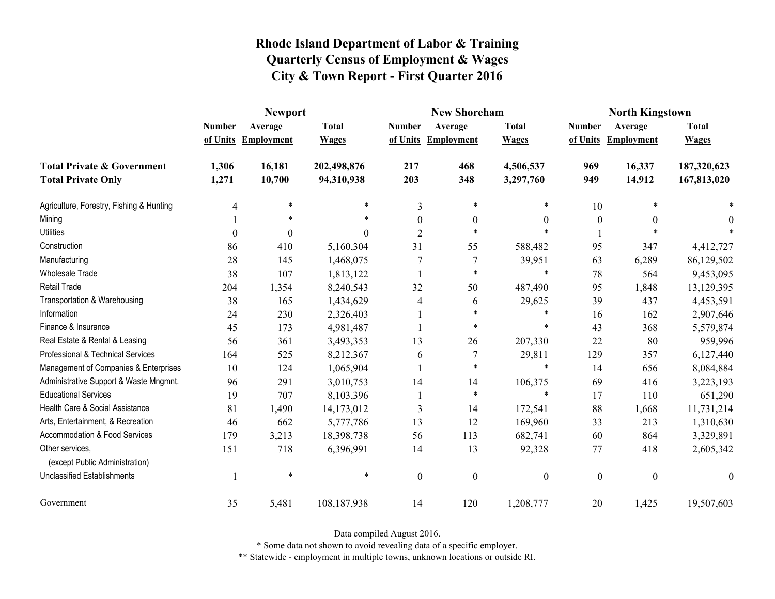|                                                   | <b>Newport</b> |                     |              |                  | <b>New Shoreham</b> |                  | <b>North Kingstown</b> |                     |                  |
|---------------------------------------------------|----------------|---------------------|--------------|------------------|---------------------|------------------|------------------------|---------------------|------------------|
|                                                   | <b>Number</b>  | Average             | <b>Total</b> | <b>Number</b>    | Average             | <b>Total</b>     | <b>Number</b>          | Average             | <b>Total</b>     |
|                                                   |                | of Units Employment | <b>Wages</b> |                  | of Units Employment | <b>Wages</b>     |                        | of Units Employment | <b>Wages</b>     |
| <b>Total Private &amp; Government</b>             | 1,306          | 16,181              | 202,498,876  | 217              | 468                 | 4,506,537        | 969                    | 16,337              | 187,320,623      |
| <b>Total Private Only</b>                         | 1,271          | 10,700              | 94,310,938   | 203              | 348                 | 3,297,760        | 949                    | 14,912              | 167,813,020      |
| Agriculture, Forestry, Fishing & Hunting          | 4              | $\ast$              | $\ast$       | $\overline{3}$   | $\ast$              | *                | 10                     | $\ast$              |                  |
| Mining                                            |                | *                   | $\ast$       | $\theta$         | $\boldsymbol{0}$    | $\Omega$         | $\boldsymbol{0}$       | $\theta$            | 0                |
| <b>Utilities</b>                                  | $\theta$       | $\theta$            | 0            | $\overline{2}$   | $\ast$              | $\ast$           |                        | $\ast$              |                  |
| Construction                                      | 86             | 410                 | 5,160,304    | 31               | 55                  | 588,482          | 95                     | 347                 | 4,412,727        |
| Manufacturing                                     | 28             | 145                 | 1,468,075    | 7                | 7                   | 39,951           | 63                     | 6,289               | 86,129,502       |
| Wholesale Trade                                   | 38             | 107                 | 1,813,122    |                  | $\ast$              | $\ast$           | 78                     | 564                 | 9,453,095        |
| <b>Retail Trade</b>                               | 204            | 1,354               | 8,240,543    | 32               | 50                  | 487,490          | 95                     | 1,848               | 13,129,395       |
| Transportation & Warehousing                      | 38             | 165                 | 1,434,629    | 4                | 6                   | 29,625           | 39                     | 437                 | 4,453,591        |
| Information                                       | 24             | 230                 | 2,326,403    |                  | $\ast$              | $\ast$           | 16                     | 162                 | 2,907,646        |
| Finance & Insurance                               | 45             | 173                 | 4,981,487    |                  | $\ast$              | $\ast$           | 43                     | 368                 | 5,579,874        |
| Real Estate & Rental & Leasing                    | 56             | 361                 | 3,493,353    | 13               | 26                  | 207,330          | 22                     | 80                  | 959,996          |
| Professional & Technical Services                 | 164            | 525                 | 8,212,367    | 6                | $\overline{7}$      | 29,811           | 129                    | 357                 | 6,127,440        |
| Management of Companies & Enterprises             | 10             | 124                 | 1,065,904    |                  | $\ast$              | $\ast$           | 14                     | 656                 | 8,084,884        |
| Administrative Support & Waste Mngmnt.            | 96             | 291                 | 3,010,753    | 14               | 14                  | 106,375          | 69                     | 416                 | 3,223,193        |
| <b>Educational Services</b>                       | 19             | 707                 | 8,103,396    |                  | $\ast$              | $\ast$           | 17                     | 110                 | 651,290          |
| Health Care & Social Assistance                   | 81             | 1,490               | 14,173,012   | 3                | 14                  | 172,541          | 88                     | 1,668               | 11,731,214       |
| Arts, Entertainment, & Recreation                 | 46             | 662                 | 5,777,786    | 13               | 12                  | 169,960          | 33                     | 213                 | 1,310,630        |
| Accommodation & Food Services                     | 179            | 3,213               | 18,398,738   | 56               | 113                 | 682,741          | 60                     | 864                 | 3,329,891        |
| Other services,<br>(except Public Administration) | 151            | 718                 | 6,396,991    | 14               | 13                  | 92,328           | 77                     | 418                 | 2,605,342        |
| <b>Unclassified Establishments</b>                |                | $\ast$              | $\ast$       | $\boldsymbol{0}$ | $\boldsymbol{0}$    | $\boldsymbol{0}$ | $\boldsymbol{0}$       | $\boldsymbol{0}$    | $\boldsymbol{0}$ |
| Government                                        | 35             | 5,481               | 108,187,938  | 14               | 120                 | 1,208,777        | 20                     | 1,425               | 19,507,603       |

Data compiled August 2016.

\* Some data not shown to avoid revealing data of a specific employer.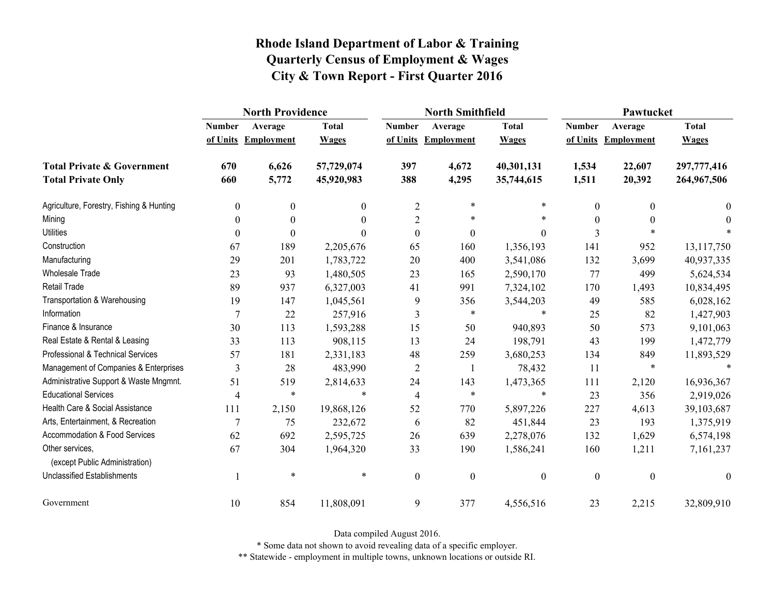|                                                   | <b>North Providence</b> |                     |              |                  | <b>North Smithfield</b> |                  | Pawtucket        |                     |                  |
|---------------------------------------------------|-------------------------|---------------------|--------------|------------------|-------------------------|------------------|------------------|---------------------|------------------|
|                                                   | <b>Number</b>           | Average             | <b>Total</b> | <b>Number</b>    | Average                 | <b>Total</b>     | <b>Number</b>    | Average             | <b>Total</b>     |
|                                                   |                         | of Units Employment | <b>Wages</b> |                  | of Units Employment     | <b>Wages</b>     |                  | of Units Employment | <b>Wages</b>     |
| <b>Total Private &amp; Government</b>             | 670                     | 6,626               | 57,729,074   | 397              | 4,672                   | 40,301,131       | 1,534            | 22,607              | 297,777,416      |
| <b>Total Private Only</b>                         | 660                     | 5,772               | 45,920,983   | 388              | 4,295                   | 35,744,615       | 1,511            | 20,392              | 264,967,506      |
| Agriculture, Forestry, Fishing & Hunting          | $\boldsymbol{0}$        | 0                   | $\mathbf{0}$ | $\overline{2}$   | $\ast$                  | $\ast$           | 0                | $\theta$            | $\bf{0}$         |
| Mining                                            | $\boldsymbol{0}$        | $\theta$            | $\theta$     | $\overline{2}$   | $\ast$                  | $\ast$           | $\theta$         | $\theta$            | $\theta$         |
| <b>Utilities</b>                                  | $\theta$                | $\Omega$            | $\Omega$     | $\boldsymbol{0}$ | $\boldsymbol{0}$        | $\overline{0}$   | 3                |                     |                  |
| Construction                                      | 67                      | 189                 | 2,205,676    | 65               | 160                     | 1,356,193        | 141              | 952                 | 13,117,750       |
| Manufacturing                                     | 29                      | 201                 | 1,783,722    | 20               | 400                     | 3,541,086        | 132              | 3,699               | 40,937,335       |
| <b>Wholesale Trade</b>                            | 23                      | 93                  | 1,480,505    | 23               | 165                     | 2,590,170        | 77               | 499                 | 5,624,534        |
| <b>Retail Trade</b>                               | 89                      | 937                 | 6,327,003    | 41               | 991                     | 7,324,102        | 170              | 1,493               | 10,834,495       |
| Transportation & Warehousing                      | 19                      | 147                 | 1,045,561    | 9                | 356                     | 3,544,203        | 49               | 585                 | 6,028,162        |
| Information                                       | $\overline{7}$          | 22                  | 257,916      | 3                | $\ast$                  | *                | 25               | 82                  | 1,427,903        |
| Finance & Insurance                               | 30                      | 113                 | 1,593,288    | 15               | 50                      | 940,893          | 50               | 573                 | 9,101,063        |
| Real Estate & Rental & Leasing                    | 33                      | 113                 | 908,115      | 13               | 24                      | 198,791          | 43               | 199                 | 1,472,779        |
| Professional & Technical Services                 | 57                      | 181                 | 2,331,183    | 48               | 259                     | 3,680,253        | 134              | 849                 | 11,893,529       |
| Management of Companies & Enterprises             | 3                       | 28                  | 483,990      | $\overline{2}$   |                         | 78,432           | 11               | $\ast$              |                  |
| Administrative Support & Waste Mngmnt.            | 51                      | 519                 | 2,814,633    | 24               | 143                     | 1,473,365        | 111              | 2,120               | 16,936,367       |
| <b>Educational Services</b>                       | $\overline{4}$          | $\ast$              | $\ast$       | $\overline{4}$   | $\ast$                  | $\ast$           | 23               | 356                 | 2,919,026        |
| Health Care & Social Assistance                   | 111                     | 2,150               | 19,868,126   | 52               | 770                     | 5,897,226        | 227              | 4,613               | 39,103,687       |
| Arts, Entertainment, & Recreation                 | $\overline{7}$          | 75                  | 232,672      | 6                | 82                      | 451,844          | 23               | 193                 | 1,375,919        |
| <b>Accommodation &amp; Food Services</b>          | 62                      | 692                 | 2,595,725    | 26               | 639                     | 2,278,076        | 132              | 1,629               | 6,574,198        |
| Other services,<br>(except Public Administration) | 67                      | 304                 | 1,964,320    | 33               | 190                     | 1,586,241        | 160              | 1,211               | 7,161,237        |
| <b>Unclassified Establishments</b>                |                         | $\ast$              | $\ast$       | $\boldsymbol{0}$ | $\boldsymbol{0}$        | $\boldsymbol{0}$ | $\boldsymbol{0}$ | $\boldsymbol{0}$    | $\boldsymbol{0}$ |
| Government                                        | 10                      | 854                 | 11,808,091   | 9                | 377                     | 4,556,516        | 23               | 2,215               | 32,809,910       |

Data compiled August 2016.

\* Some data not shown to avoid revealing data of a specific employer.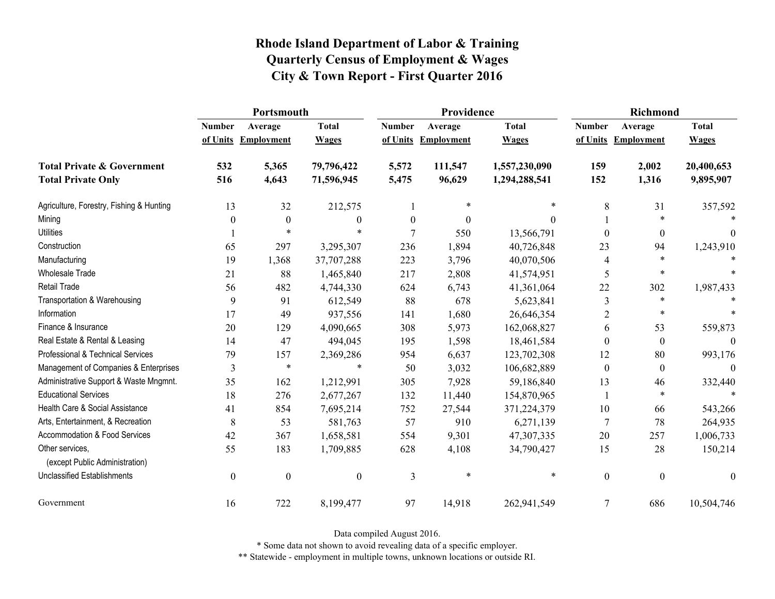|                                                   | Portsmouth       |                     |                  |                  | Providence          |               | <b>Richmond</b>  |                     |                  |
|---------------------------------------------------|------------------|---------------------|------------------|------------------|---------------------|---------------|------------------|---------------------|------------------|
|                                                   | <b>Number</b>    | Average             | <b>Total</b>     | <b>Number</b>    | Average             | <b>Total</b>  | <b>Number</b>    | Average             | <b>Total</b>     |
|                                                   |                  | of Units Employment | <b>Wages</b>     |                  | of Units Employment | <b>Wages</b>  |                  | of Units Employment | <b>Wages</b>     |
| <b>Total Private &amp; Government</b>             | 532              | 5,365               | 79,796,422       | 5,572            | 111,547             | 1,557,230,090 | 159              | 2,002               | 20,400,653       |
| <b>Total Private Only</b>                         | 516              | 4,643               | 71,596,945       | 5,475            | 96,629              | 1,294,288,541 | 152              | 1,316               | 9,895,907        |
| Agriculture, Forestry, Fishing & Hunting          | 13               | 32                  | 212,575          |                  | $\ast$              | $\ast$        | 8                | 31                  | 357,592          |
| Mining                                            | 0                | $\boldsymbol{0}$    | $\theta$         | $\boldsymbol{0}$ | $\theta$            | $\Omega$      |                  | $\ast$              |                  |
| <b>Utilities</b>                                  |                  | $\ast$              | $\ast$           | 7                | 550                 | 13,566,791    | $\theta$         | $\overline{0}$      | 0                |
| Construction                                      | 65               | 297                 | 3,295,307        | 236              | 1,894               | 40,726,848    | 23               | 94                  | 1,243,910        |
| Manufacturing                                     | 19               | 1,368               | 37,707,288       | 223              | 3,796               | 40,070,506    | 4                | $\ast$              |                  |
| Wholesale Trade                                   | 21               | 88                  | 1,465,840        | 217              | 2,808               | 41,574,951    | 5                | $\ast$              |                  |
| <b>Retail Trade</b>                               | 56               | 482                 | 4,744,330        | 624              | 6,743               | 41,361,064    | 22               | 302                 | 1,987,433        |
| Transportation & Warehousing                      | 9                | 91                  | 612,549          | 88               | 678                 | 5,623,841     | 3                | $\ast$              |                  |
| Information                                       | 17               | 49                  | 937,556          | 141              | 1,680               | 26,646,354    | $\overline{2}$   | $\ast$              |                  |
| Finance & Insurance                               | 20               | 129                 | 4,090,665        | 308              | 5,973               | 162,068,827   | 6                | 53                  | 559,873          |
| Real Estate & Rental & Leasing                    | 14               | 47                  | 494,045          | 195              | 1,598               | 18,461,584    | $\theta$         | $\mathbf{0}$        | $\Omega$         |
| Professional & Technical Services                 | 79               | 157                 | 2,369,286        | 954              | 6,637               | 123,702,308   | 12               | 80                  | 993,176          |
| Management of Companies & Enterprises             | 3                | $\ast$              | $\ast$           | 50               | 3,032               | 106,682,889   | $\theta$         | $\mathbf{0}$        | $\theta$         |
| Administrative Support & Waste Mngmnt.            | 35               | 162                 | 1,212,991        | 305              | 7,928               | 59,186,840    | 13               | 46                  | 332,440          |
| <b>Educational Services</b>                       | 18               | 276                 | 2,677,267        | 132              | 11,440              | 154,870,965   |                  | $\ast$              | $\ast$           |
| Health Care & Social Assistance                   | 41               | 854                 | 7,695,214        | 752              | 27,544              | 371,224,379   | 10               | 66                  | 543,266          |
| Arts, Entertainment, & Recreation                 | $8\,$            | 53                  | 581,763          | 57               | 910                 | 6,271,139     | 7                | 78                  | 264,935          |
| Accommodation & Food Services                     | 42               | 367                 | 1,658,581        | 554              | 9,301               | 47,307,335    | 20               | 257                 | 1,006,733        |
| Other services,<br>(except Public Administration) | 55               | 183                 | 1,709,885        | 628              | 4,108               | 34,790,427    | 15               | 28                  | 150,214          |
| <b>Unclassified Establishments</b>                | $\boldsymbol{0}$ | $\boldsymbol{0}$    | $\boldsymbol{0}$ | 3                | $\ast$              | $\ast$        | $\boldsymbol{0}$ | $\boldsymbol{0}$    | $\boldsymbol{0}$ |
| Government                                        | 16               | 722                 | 8,199,477        | 97               | 14,918              | 262,941,549   | 7                | 686                 | 10,504,746       |

Data compiled August 2016.

\* Some data not shown to avoid revealing data of a specific employer.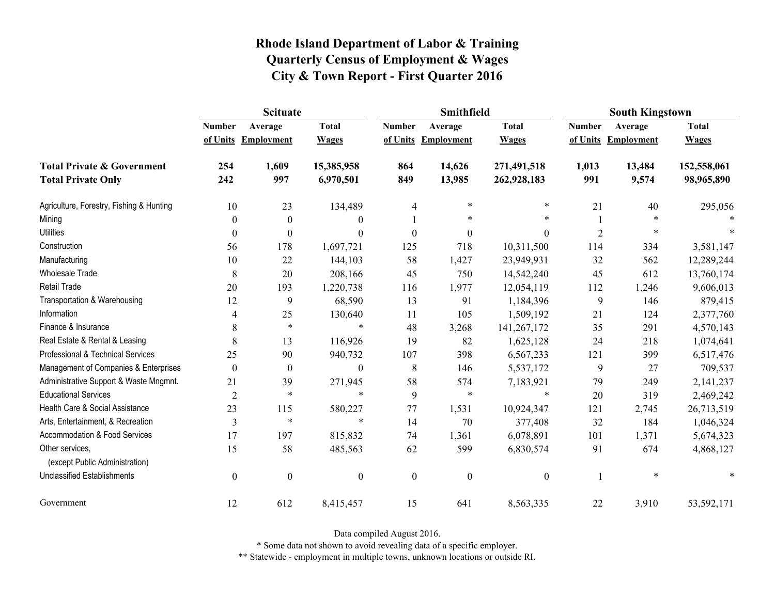|                                                   | <b>Scituate</b>  |                     |                  |                  | <b>Smithfield</b> |                  | <b>South Kingstown</b> |                     |              |
|---------------------------------------------------|------------------|---------------------|------------------|------------------|-------------------|------------------|------------------------|---------------------|--------------|
|                                                   | <b>Number</b>    | Average             | <b>Total</b>     | <b>Number</b>    | Average           | <b>Total</b>     | <b>Number</b>          | Average             | <b>Total</b> |
|                                                   |                  | of Units Employment | <b>Wages</b>     | of Units         | <b>Employment</b> | <b>Wages</b>     |                        | of Units Employment | <b>Wages</b> |
| <b>Total Private &amp; Government</b>             | 254              | 1,609               | 15,385,958       | 864              | 14,626            | 271,491,518      | 1,013                  | 13,484              | 152,558,061  |
| <b>Total Private Only</b>                         | 242              | 997                 | 6,970,501        | 849              | 13,985            | 262,928,183      | 991                    | 9,574               | 98,965,890   |
| Agriculture, Forestry, Fishing & Hunting          | 10               | 23                  | 134,489          | 4                | *                 | $\ast$           | 21                     | 40                  | 295,056      |
| Mining                                            | $\mathbf{0}$     | $\boldsymbol{0}$    | $\boldsymbol{0}$ |                  | $\ast$            | $\ast$           |                        |                     |              |
| <b>Utilities</b>                                  | $\mathbf{0}$     | $\Omega$            | $\boldsymbol{0}$ | $\mathbf{0}$     | $\theta$          | $\mathbf{0}$     | $\overline{2}$         | *                   |              |
| Construction                                      | 56               | 178                 | 1,697,721        | 125              | 718               | 10,311,500       | 114                    | 334                 | 3,581,147    |
| Manufacturing                                     | 10               | 22                  | 144,103          | 58               | 1,427             | 23,949,931       | 32                     | 562                 | 12,289,244   |
| <b>Wholesale Trade</b>                            | 8                | 20                  | 208,166          | 45               | 750               | 14,542,240       | 45                     | 612                 | 13,760,174   |
| Retail Trade                                      | 20               | 193                 | 1,220,738        | 116              | 1,977             | 12,054,119       | 112                    | 1,246               | 9,606,013    |
| Transportation & Warehousing                      | 12               | 9                   | 68,590           | 13               | 91                | 1,184,396        | 9                      | 146                 | 879,415      |
| Information                                       | 4                | 25                  | 130,640          | 11               | 105               | 1,509,192        | 21                     | 124                 | 2,377,760    |
| Finance & Insurance                               | 8                | $\ast$              | $\ast$           | 48               | 3,268             | 141,267,172      | 35                     | 291                 | 4,570,143    |
| Real Estate & Rental & Leasing                    | 8                | 13                  | 116,926          | 19               | 82                | 1,625,128        | 24                     | 218                 | 1,074,641    |
| Professional & Technical Services                 | 25               | 90                  | 940,732          | 107              | 398               | 6,567,233        | 121                    | 399                 | 6,517,476    |
| Management of Companies & Enterprises             | $\boldsymbol{0}$ | $\boldsymbol{0}$    | $\boldsymbol{0}$ | $\,$ 8 $\,$      | 146               | 5,537,172        | 9                      | 27                  | 709,537      |
| Administrative Support & Waste Mngmnt.            | 21               | 39                  | 271,945          | 58               | 574               | 7,183,921        | 79                     | 249                 | 2,141,237    |
| <b>Educational Services</b>                       | $\overline{2}$   | $\ast$              | $\ast$           | 9                | $\ast$            | $\ast$           | 20                     | 319                 | 2,469,242    |
| Health Care & Social Assistance                   | 23               | 115                 | 580,227          | 77               | 1,531             | 10,924,347       | 121                    | 2,745               | 26,713,519   |
| Arts, Entertainment, & Recreation                 | $\mathfrak{Z}$   | $\ast$              | $\ast$           | 14               | 70                | 377,408          | 32                     | 184                 | 1,046,324    |
| <b>Accommodation &amp; Food Services</b>          | 17               | 197                 | 815,832          | 74               | 1,361             | 6,078,891        | 101                    | 1,371               | 5,674,323    |
| Other services,<br>(except Public Administration) | 15               | 58                  | 485,563          | 62               | 599               | 6,830,574        | 91                     | 674                 | 4,868,127    |
| <b>Unclassified Establishments</b>                | $\boldsymbol{0}$ | $\boldsymbol{0}$    | $\boldsymbol{0}$ | $\boldsymbol{0}$ | $\boldsymbol{0}$  | $\boldsymbol{0}$ |                        | $\ast$              |              |
| Government                                        | 12               | 612                 | 8,415,457        | 15               | 641               | 8,563,335        | 22                     | 3,910               | 53,592,171   |

Data compiled August 2016.

\* Some data not shown to avoid revealing data of a specific employer.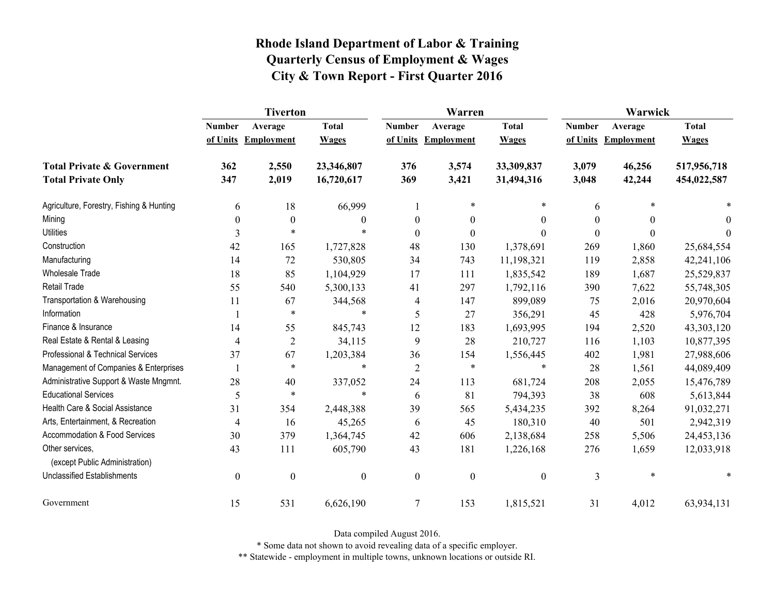|                                                   | <b>Tiverton</b>  |                     |                  |                  | Warren              |                  | Warwick       |                     |              |
|---------------------------------------------------|------------------|---------------------|------------------|------------------|---------------------|------------------|---------------|---------------------|--------------|
|                                                   | <b>Number</b>    | Average             | <b>Total</b>     | <b>Number</b>    | Average             | <b>Total</b>     | <b>Number</b> | Average             | <b>Total</b> |
|                                                   |                  | of Units Employment | <b>Wages</b>     |                  | of Units Employment | <b>Wages</b>     |               | of Units Employment | <b>Wages</b> |
| <b>Total Private &amp; Government</b>             | 362              | 2,550               | 23,346,807       | 376              | 3,574               | 33,309,837       | 3,079         | 46,256              | 517,956,718  |
| <b>Total Private Only</b>                         | 347              | 2,019               | 16,720,617       | 369              | 3,421               | 31,494,316       | 3,048         | 42,244              | 454,022,587  |
| Agriculture, Forestry, Fishing & Hunting          | 6                | 18                  | 66,999           |                  | $\ast$              | $\ast$           | 6             | $\ast$              |              |
| Mining                                            | $\theta$         | $\boldsymbol{0}$    | $\theta$         | $\theta$         | $\mathbf{0}$        | $\theta$         | 0             | $\theta$            | $\theta$     |
| <b>Utilities</b>                                  | 3                | $\ast$              | $\ast$           | $\boldsymbol{0}$ | $\boldsymbol{0}$    | $\boldsymbol{0}$ | $\Omega$      | $\theta$            | $\Omega$     |
| Construction                                      | 42               | 165                 | 1,727,828        | 48               | 130                 | 1,378,691        | 269           | 1,860               | 25,684,554   |
| Manufacturing                                     | 14               | 72                  | 530,805          | 34               | 743                 | 11,198,321       | 119           | 2,858               | 42,241,106   |
| <b>Wholesale Trade</b>                            | 18               | 85                  | 1,104,929        | 17               | 111                 | 1,835,542        | 189           | 1,687               | 25,529,837   |
| <b>Retail Trade</b>                               | 55               | 540                 | 5,300,133        | 41               | 297                 | 1,792,116        | 390           | 7,622               | 55,748,305   |
| Transportation & Warehousing                      | 11               | 67                  | 344,568          | 4                | 147                 | 899,089          | 75            | 2,016               | 20,970,604   |
| Information                                       |                  | $\ast$              | $\ast$           | 5                | 27                  | 356,291          | 45            | 428                 | 5,976,704    |
| Finance & Insurance                               | 14               | 55                  | 845,743          | 12               | 183                 | 1,693,995        | 194           | 2,520               | 43,303,120   |
| Real Estate & Rental & Leasing                    | 4                | $\overline{c}$      | 34,115           | 9                | 28                  | 210,727          | 116           | 1,103               | 10,877,395   |
| Professional & Technical Services                 | 37               | 67                  | 1,203,384        | 36               | 154                 | 1,556,445        | 402           | 1,981               | 27,988,606   |
| Management of Companies & Enterprises             |                  | $\ast$              | $\ast$           | $\overline{2}$   | $\ast$              | $\ast$           | 28            | 1,561               | 44,089,409   |
| Administrative Support & Waste Mngmnt.            | 28               | 40                  | 337,052          | 24               | 113                 | 681,724          | 208           | 2,055               | 15,476,789   |
| <b>Educational Services</b>                       | 5                | $\ast$              | $\ast$           | 6                | 81                  | 794,393          | 38            | 608                 | 5,613,844    |
| Health Care & Social Assistance                   | 31               | 354                 | 2,448,388        | 39               | 565                 | 5,434,235        | 392           | 8,264               | 91,032,271   |
| Arts, Entertainment, & Recreation                 | $\overline{4}$   | 16                  | 45,265           | 6                | 45                  | 180,310          | 40            | 501                 | 2,942,319    |
| Accommodation & Food Services                     | 30               | 379                 | 1,364,745        | 42               | 606                 | 2,138,684        | 258           | 5,506               | 24,453,136   |
| Other services,<br>(except Public Administration) | 43               | 111                 | 605,790          | 43               | 181                 | 1,226,168        | 276           | 1,659               | 12,033,918   |
| <b>Unclassified Establishments</b>                | $\boldsymbol{0}$ | $\boldsymbol{0}$    | $\boldsymbol{0}$ | $\boldsymbol{0}$ | $\boldsymbol{0}$    | $\boldsymbol{0}$ | 3             | $\ast$              | *            |
| Government                                        | 15               | 531                 | 6,626,190        | $\tau$           | 153                 | 1,815,521        | 31            | 4,012               | 63,934,131   |

Data compiled August 2016.

\* Some data not shown to avoid revealing data of a specific employer.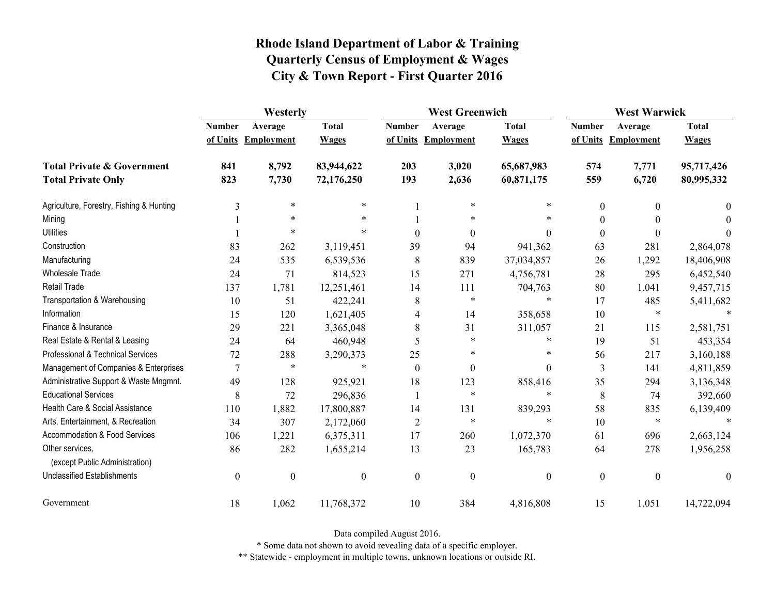|                                                   | Westerly         |                     |                  |                  | <b>West Greenwich</b> |                  |                  | <b>West Warwick</b> |              |  |
|---------------------------------------------------|------------------|---------------------|------------------|------------------|-----------------------|------------------|------------------|---------------------|--------------|--|
|                                                   | <b>Number</b>    | Average             | <b>Total</b>     | <b>Number</b>    | Average               | <b>Total</b>     | <b>Number</b>    | Average             | <b>Total</b> |  |
|                                                   |                  | of Units Employment | <b>Wages</b>     |                  | of Units Employment   | <b>Wages</b>     |                  | of Units Employment | <b>Wages</b> |  |
| <b>Total Private &amp; Government</b>             | 841              | 8,792               | 83,944,622       | 203              | 3,020                 | 65,687,983       | 574              | 7,771               | 95,717,426   |  |
| <b>Total Private Only</b>                         | 823              | 7,730               | 72,176,250       | 193              | 2,636                 | 60,871,175       | 559              | 6,720               | 80,995,332   |  |
| Agriculture, Forestry, Fishing & Hunting          | 3                | $\ast$              | $\ast$           |                  | $\ast$                | $\ast$           | $\boldsymbol{0}$ | $\theta$            | $\theta$     |  |
| Mining                                            |                  | $\ast$              | $\ast$           |                  | $\ast$                | *                | $\theta$         |                     | $\Omega$     |  |
| <b>Utilities</b>                                  |                  | $\ast$              |                  | $\theta$         | $\theta$              | $\theta$         | $\boldsymbol{0}$ | $\Omega$            | $\theta$     |  |
| Construction                                      | 83               | 262                 | 3,119,451        | 39               | 94                    | 941,362          | 63               | 281                 | 2,864,078    |  |
| Manufacturing                                     | 24               | 535                 | 6,539,536        | 8                | 839                   | 37,034,857       | 26               | 1,292               | 18,406,908   |  |
| <b>Wholesale Trade</b>                            | 24               | 71                  | 814,523          | 15               | 271                   | 4,756,781        | 28               | 295                 | 6,452,540    |  |
| <b>Retail Trade</b>                               | 137              | 1,781               | 12,251,461       | 14               | 111                   | 704,763          | 80               | 1,041               | 9,457,715    |  |
| Transportation & Warehousing                      | 10               | 51                  | 422,241          | 8                | $\ast$                | $\ast$           | 17               | 485                 | 5,411,682    |  |
| Information                                       | 15               | 120                 | 1,621,405        | 4                | 14                    | 358,658          | $10\,$           | $\ast$              |              |  |
| Finance & Insurance                               | 29               | 221                 | 3,365,048        | 8                | 31                    | 311,057          | 21               | 115                 | 2,581,751    |  |
| Real Estate & Rental & Leasing                    | 24               | 64                  | 460,948          | 5                | *                     | $\ast$           | 19               | 51                  | 453,354      |  |
| Professional & Technical Services                 | 72               | 288                 | 3,290,373        | 25               | $\ast$                | $\ast$           | 56               | 217                 | 3,160,188    |  |
| Management of Companies & Enterprises             | 7                | $\ast$              | $\ast$           | $\theta$         | $\mathbf{0}$          | $\theta$         | 3                | 141                 | 4,811,859    |  |
| Administrative Support & Waste Mngmnt.            | 49               | 128                 | 925,921          | 18               | 123                   | 858,416          | 35               | 294                 | 3,136,348    |  |
| <b>Educational Services</b>                       | 8                | 72                  | 296,836          |                  | $\ast$                | $\ast$           | 8                | 74                  | 392,660      |  |
| Health Care & Social Assistance                   | 110              | 1,882               | 17,800,887       | 14               | 131                   | 839,293          | 58               | 835                 | 6,139,409    |  |
| Arts, Entertainment, & Recreation                 | 34               | 307                 | 2,172,060        | $\overline{2}$   | $\ast$                | $\ast$           | 10               | $\ast$              |              |  |
| Accommodation & Food Services                     | 106              | 1,221               | 6,375,311        | 17               | 260                   | 1,072,370        | 61               | 696                 | 2,663,124    |  |
| Other services,<br>(except Public Administration) | 86               | 282                 | 1,655,214        | 13               | 23                    | 165,783          | 64               | 278                 | 1,956,258    |  |
| <b>Unclassified Establishments</b>                | $\boldsymbol{0}$ | $\boldsymbol{0}$    | $\boldsymbol{0}$ | $\boldsymbol{0}$ | $\boldsymbol{0}$      | $\boldsymbol{0}$ | $\boldsymbol{0}$ | $\boldsymbol{0}$    | $\theta$     |  |
| Government                                        | 18               | 1,062               | 11,768,372       | 10               | 384                   | 4,816,808        | 15               | 1,051               | 14,722,094   |  |

Data compiled August 2016.

\* Some data not shown to avoid revealing data of a specific employer.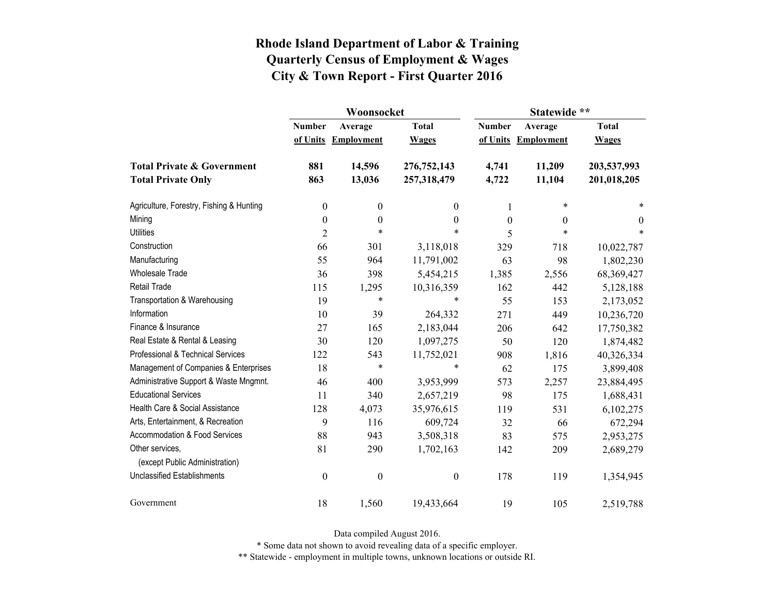|                                                   |                  | Woonsocket        |                  | Statewide **  |                   |              |  |
|---------------------------------------------------|------------------|-------------------|------------------|---------------|-------------------|--------------|--|
|                                                   | <b>Number</b>    | Average           | <b>Total</b>     | <b>Number</b> | Average           | <b>Total</b> |  |
|                                                   | of Units         | <b>Employment</b> | <b>Wages</b>     | of Units      | <b>Employment</b> | <b>Wages</b> |  |
| <b>Total Private &amp; Government</b>             | 881              | 14,596            | 276,752,143      | 4,741         | 11,209            | 203,537,993  |  |
| <b>Total Private Only</b>                         | 863              | 13,036            | 257,318,479      | 4,722         | 11,104            | 201,018,205  |  |
| Agriculture, Forestry, Fishing & Hunting          | $\boldsymbol{0}$ | $\boldsymbol{0}$  | $\theta$         | 1             | $\ast$            | *            |  |
| Mining                                            | $\boldsymbol{0}$ | $\boldsymbol{0}$  | $\boldsymbol{0}$ | $\mathbf{0}$  | $\theta$          | $\theta$     |  |
| <b>Utilities</b>                                  | $\overline{2}$   | $\ast$            | $\ast$           | 5             | $\ast$            | *            |  |
| Construction                                      | 66               | 301               | 3,118,018        | 329           | 718               | 10,022,787   |  |
| Manufacturing                                     | 55               | 964               | 11,791,002       | 63            | 98                | 1,802,230    |  |
| <b>Wholesale Trade</b>                            | 36               | 398               | 5,454,215        | 1,385         | 2,556             | 68,369,427   |  |
| <b>Retail Trade</b>                               | 115              | 1,295             | 10,316,359       | 162           | 442               | 5,128,188    |  |
| Transportation & Warehousing                      | 19               | $\ast$            | *                | 55            | 153               | 2,173,052    |  |
| Information                                       | 10               | 39                | 264,332          | 271           | 449               | 10,236,720   |  |
| Finance & Insurance                               | 27               | 165               | 2,183,044        | 206           | 642               | 17,750,382   |  |
| Real Estate & Rental & Leasing                    | 30               | 120               | 1,097,275        | 50            | 120               | 1,874,482    |  |
| Professional & Technical Services                 | 122              | 543               | 11,752,021       | 908           | 1,816             | 40,326,334   |  |
| Management of Companies & Enterprises             | 18               | $\ast$            | $\ast$           | 62            | 175               | 3,899,408    |  |
| Administrative Support & Waste Mngmnt.            | 46               | 400               | 3,953,999        | 573           | 2,257             | 23,884,495   |  |
| <b>Educational Services</b>                       | 11               | 340               | 2,657,219        | 98            | 175               | 1,688,431    |  |
| Health Care & Social Assistance                   | 128              | 4,073             | 35,976,615       | 119           | 531               | 6,102,275    |  |
| Arts, Entertainment, & Recreation                 | 9                | 116               | 609,724          | 32            | 66                | 672,294      |  |
| Accommodation & Food Services                     | 88               | 943               | 3,508,318        | 83            | 575               | 2,953,275    |  |
| Other services,<br>(except Public Administration) | 81               | 290               | 1,702,163        | 142           | 209               | 2,689,279    |  |
| <b>Unclassified Establishments</b>                | $\boldsymbol{0}$ | $\boldsymbol{0}$  | $\boldsymbol{0}$ | 178           | 119               | 1,354,945    |  |
| Government                                        | 18               | 1,560             | 19,433,664       | 19            | 105               | 2,519,788    |  |

Data compiled August 2016.

\* Some data not shown to avoid revealing data of a specific employer.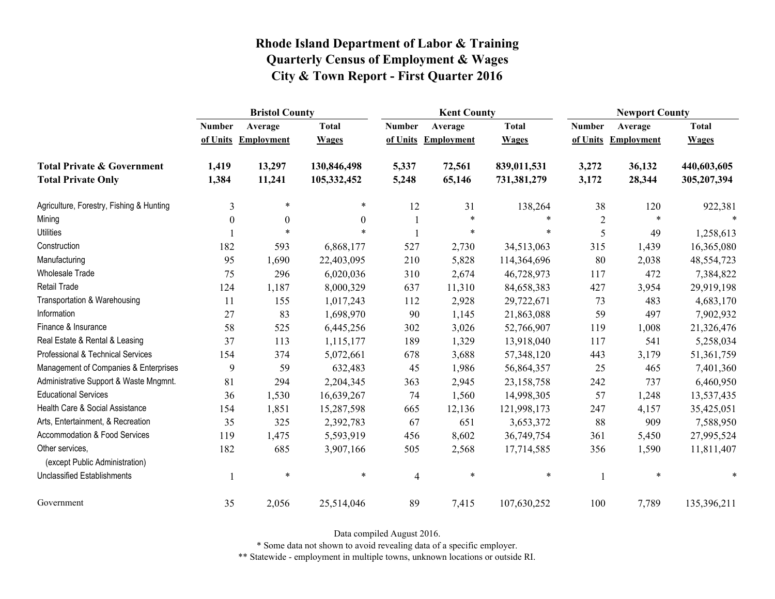|                                                   | <b>Bristol County</b> |                   |              |                | <b>Kent County</b> |              | <b>Newport County</b> |                   |              |
|---------------------------------------------------|-----------------------|-------------------|--------------|----------------|--------------------|--------------|-----------------------|-------------------|--------------|
|                                                   | <b>Number</b>         | Average           | <b>Total</b> | <b>Number</b>  | Average            | <b>Total</b> | <b>Number</b>         | Average           | <b>Total</b> |
|                                                   | of Units              | <b>Employment</b> | <b>Wages</b> | of Units       | <b>Employment</b>  | <b>Wages</b> | of Units              | <b>Employment</b> | <b>Wages</b> |
| <b>Total Private &amp; Government</b>             | 1,419                 | 13,297            | 130,846,498  | 5,337          | 72,561             | 839,011,531  | 3,272                 | 36,132            | 440,603,605  |
| <b>Total Private Only</b>                         | 1,384                 | 11,241            | 105,332,452  | 5,248          | 65,146             | 731,381,279  | 3,172                 | 28,344            | 305,207,394  |
| Agriculture, Forestry, Fishing & Hunting          | 3                     | $\ast$            | *            | 12             | 31                 | 138,264      | 38                    | 120               | 922,381      |
| Mining                                            | $\boldsymbol{0}$      | $\boldsymbol{0}$  | $\mathbf{0}$ |                | $\ast$             | *            | $\sqrt{2}$            | $\ast$            |              |
| <b>Utilities</b>                                  |                       | $\ast$            | $\ast$       |                | $\ast$             | $\ast$       | 5                     | 49                | 1,258,613    |
| Construction                                      | 182                   | 593               | 6,868,177    | 527            | 2,730              | 34,513,063   | 315                   | 1,439             | 16,365,080   |
| Manufacturing                                     | 95                    | 1,690             | 22,403,095   | 210            | 5,828              | 114,364,696  | 80                    | 2,038             | 48,554,723   |
| Wholesale Trade                                   | 75                    | 296               | 6,020,036    | 310            | 2,674              | 46,728,973   | 117                   | 472               | 7,384,822    |
| <b>Retail Trade</b>                               | 124                   | 1,187             | 8,000,329    | 637            | 11,310             | 84,658,383   | 427                   | 3,954             | 29,919,198   |
| Transportation & Warehousing                      | 11                    | 155               | 1,017,243    | 112            | 2,928              | 29,722,671   | 73                    | 483               | 4,683,170    |
| Information                                       | 27                    | 83                | 1,698,970    | 90             | 1,145              | 21,863,088   | 59                    | 497               | 7,902,932    |
| Finance & Insurance                               | 58                    | 525               | 6,445,256    | 302            | 3,026              | 52,766,907   | 119                   | 1,008             | 21,326,476   |
| Real Estate & Rental & Leasing                    | 37                    | 113               | 1,115,177    | 189            | 1,329              | 13,918,040   | 117                   | 541               | 5,258,034    |
| Professional & Technical Services                 | 154                   | 374               | 5,072,661    | 678            | 3,688              | 57,348,120   | 443                   | 3,179             | 51,361,759   |
| Management of Companies & Enterprises             | 9                     | 59                | 632,483      | 45             | 1,986              | 56,864,357   | 25                    | 465               | 7,401,360    |
| Administrative Support & Waste Mngmnt.            | 81                    | 294               | 2,204,345    | 363            | 2,945              | 23,158,758   | 242                   | 737               | 6,460,950    |
| <b>Educational Services</b>                       | 36                    | 1,530             | 16,639,267   | 74             | 1,560              | 14,998,305   | 57                    | 1,248             | 13,537,435   |
| Health Care & Social Assistance                   | 154                   | 1,851             | 15,287,598   | 665            | 12,136             | 121,998,173  | 247                   | 4,157             | 35,425,051   |
| Arts, Entertainment, & Recreation                 | 35                    | 325               | 2,392,783    | 67             | 651                | 3,653,372    | 88                    | 909               | 7,588,950    |
| Accommodation & Food Services                     | 119                   | 1,475             | 5,593,919    | 456            | 8,602              | 36,749,754   | 361                   | 5,450             | 27,995,524   |
| Other services,<br>(except Public Administration) | 182                   | 685               | 3,907,166    | 505            | 2,568              | 17,714,585   | 356                   | 1,590             | 11,811,407   |
| <b>Unclassified Establishments</b>                | 1                     | $\ast$            | $\ast$       | $\overline{4}$ | $\ast$             | $\ast$       |                       | $\ast$            | *            |
| Government                                        | 35                    | 2,056             | 25,514,046   | 89             | 7,415              | 107,630,252  | 100                   | 7,789             | 135,396,211  |

Data compiled August 2016.

\* Some data not shown to avoid revealing data of a specific employer.